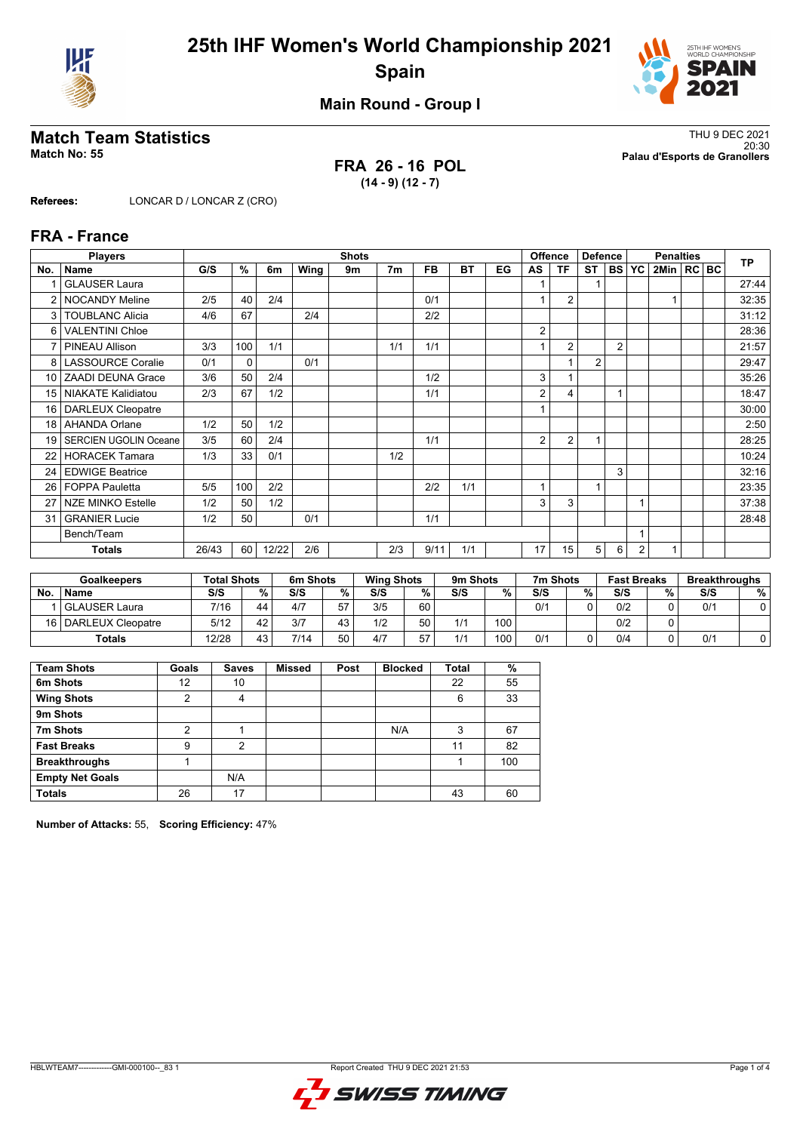



**Main Round - Group I**

**FRA 26 - 16 POL (14 - 9) (12 - 7)**

**Match Team Statistics** Thu 9 DEC 2021 20:30 **Match No: 55 Palau d'Esports de Granollers**

**Referees:** LONCAR D / LONCAR Z (CRO)

### **FRA - France**

|                 | <b>Players</b>               |       |      |       |      | <b>Shots</b> |                |           |           |    |    | <b>Offence</b> | <b>Defence</b> |                |                | <b>Penalties</b> |  | <b>TP</b> |
|-----------------|------------------------------|-------|------|-------|------|--------------|----------------|-----------|-----------|----|----|----------------|----------------|----------------|----------------|------------------|--|-----------|
| No.             | <b>Name</b>                  | G/S   | $\%$ | 6m    | Wing | 9m           | 7 <sub>m</sub> | <b>FB</b> | <b>BT</b> | EG | AS | ΤF             | <b>ST</b>      | <b>BS</b>      | YC             | 2Min   RC   BC   |  |           |
|                 | <b>GLAUSER Laura</b>         |       |      |       |      |              |                |           |           |    |    |                |                |                |                |                  |  | 27:44     |
|                 | <b>NOCANDY Meline</b>        | 2/5   | 40   | 2/4   |      |              |                | 0/1       |           |    |    | $\overline{2}$ |                |                |                |                  |  | 32:35     |
| 3               | <b>TOUBLANC Alicia</b>       | 4/6   | 67   |       | 2/4  |              |                | 2/2       |           |    |    |                |                |                |                |                  |  | 31:12     |
| 6               | <b>VALENTINI Chloe</b>       |       |      |       |      |              |                |           |           |    | 2  |                |                |                |                |                  |  | 28:36     |
|                 | PINEAU Allison               | 3/3   | 100  | 1/1   |      |              | 1/1            | 1/1       |           |    |    | $\overline{2}$ |                | $\overline{2}$ |                |                  |  | 21:57     |
| 8               | <b>LASSOURCE Coralie</b>     | 0/1   | 0    |       | 0/1  |              |                |           |           |    |    |                | 2              |                |                |                  |  | 29:47     |
| 10 <sup>1</sup> | <b>ZAADI DEUNA Grace</b>     | 3/6   | 50   | 2/4   |      |              |                | 1/2       |           |    | 3  |                |                |                |                |                  |  | 35:26     |
| 15 <sub>1</sub> | <b>NIAKATE Kalidiatou</b>    | 2/3   | 67   | 1/2   |      |              |                | 1/1       |           |    | 2  | 4              |                |                |                |                  |  | 18:47     |
| 16              | <b>DARLEUX Cleopatre</b>     |       |      |       |      |              |                |           |           |    |    |                |                |                |                |                  |  | 30:00     |
| 18              | <b>AHANDA Orlane</b>         | 1/2   | 50   | 1/2   |      |              |                |           |           |    |    |                |                |                |                |                  |  | 2:50      |
| 19              | <b>SERCIEN UGOLIN Oceane</b> | 3/5   | 60   | 2/4   |      |              |                | 1/1       |           |    | 2  | $\overline{2}$ | 1              |                |                |                  |  | 28:25     |
| 22              | <b>HORACEK Tamara</b>        | 1/3   | 33   | 0/1   |      |              | 1/2            |           |           |    |    |                |                |                |                |                  |  | 10:24     |
| 24              | <b>EDWIGE Beatrice</b>       |       |      |       |      |              |                |           |           |    |    |                |                | 3              |                |                  |  | 32:16     |
| 26              | <b>FOPPA Pauletta</b>        | 5/5   | 100  | 2/2   |      |              |                | 2/2       | 1/1       |    | 1  |                | 1              |                |                |                  |  | 23:35     |
| 27              | <b>NZE MINKO Estelle</b>     | 1/2   | 50   | 1/2   |      |              |                |           |           |    | 3  | 3              |                |                |                |                  |  | 37:38     |
| 31              | <b>GRANIER Lucie</b>         | 1/2   | 50   |       | 0/1  |              |                | 1/1       |           |    |    |                |                |                |                |                  |  | 28:48     |
|                 | Bench/Team                   |       |      |       |      |              |                |           |           |    |    |                |                |                |                |                  |  |           |
|                 | Totals                       | 26/43 | 60   | 12/22 | 2/6  |              | 2/3            | 9/11      | 1/1       |    | 17 | 15             | 5              | 6              | $\overline{2}$ |                  |  |           |

| <b>Goalkeepers</b> |                        | <b>Total Shots</b> |    | 6m Shots |    |     | <b>Wing Shots</b> |     | 9m Shots |     | 7m Shots | <b>Fast Breaks</b> |   | <b>Breakthroughs</b> |   |
|--------------------|------------------------|--------------------|----|----------|----|-----|-------------------|-----|----------|-----|----------|--------------------|---|----------------------|---|
| No                 | <b>Name</b>            | S/S                | %. | S/S      | %  | S/S | %                 | S/S | %        | S/S | %        | S/S                | % | S/S                  | % |
|                    | <b>GLAUSER Laura</b>   | 7/16               | 44 | 4/7      | 57 | 3/5 | 60                |     |          | 0/1 |          | 0/2                |   | 0/1                  |   |
|                    | 16   DARLEUX Cleopatre | 5/12               | 42 | 3/7      | 43 | 1/2 | 50                | 1/1 | 100      |     |          | 0/2                |   |                      |   |
|                    | <b>Totals</b>          | 12/28              | 43 | 7/14     | 50 | 4/7 | 57                | 1/1 | 100      | 0/1 |          | 0/4                |   | 0/1                  |   |

| <b>Team Shots</b>      | Goals | <b>Saves</b> | <b>Missed</b> | Post | <b>Blocked</b> | Total | %   |
|------------------------|-------|--------------|---------------|------|----------------|-------|-----|
| 6m Shots               | 12    | 10           |               |      |                | 22    | 55  |
| <b>Wing Shots</b>      | 2     | 4            |               |      |                | 6     | 33  |
| 9m Shots               |       |              |               |      |                |       |     |
| 7m Shots               | 2     |              |               |      | N/A            | 3     | 67  |
| <b>Fast Breaks</b>     | 9     | 2            |               |      |                | 11    | 82  |
| <b>Breakthroughs</b>   |       |              |               |      |                |       | 100 |
| <b>Empty Net Goals</b> |       | N/A          |               |      |                |       |     |
| <b>Totals</b>          | 26    | 17           |               |      |                | 43    | 60  |

**Number of Attacks:** 55, **Scoring Efficiency:** 47%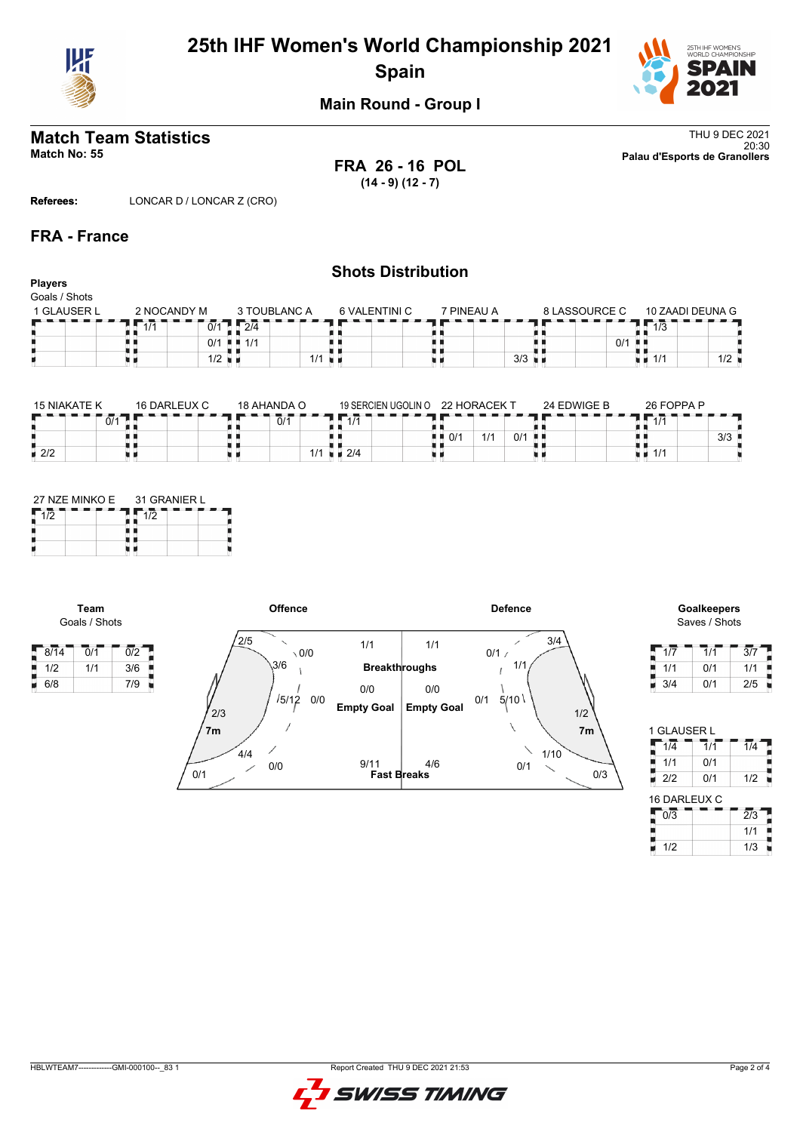

## **25th IHF Women's World Championship 2021 Spain**



**Main Round - Group I**

# **Match Team Statistics** Thu 9 DEC 2021

**FRA 26 - 16 POL (14 - 9) (12 - 7)**

20:30 **Match No: 55 Palau d'Esports de Granollers**

**Referees:** LONCAR D / LONCAR Z (CRO)

### **FRA - France**

### **Shots Distribution Players** Goals / Shots 10 ZAADI DEUNA G 1 GLAUSER L 2 NOCANDY M 3 TOUBLANC A 6 VALENTINI C 7 PINEAU A 8 LASSOURCE C  $7\overline{111}$  $12/4$ 8 8  $1/3$ {}<br>{} H,  $\sqrt{0/1}$  $1/1$  $\vert$  0/1  $3/3$  $1/1$ u p  $1/2$  $1/1$  1/2

| <b>15 NIAKATE K</b> | 16 DARLEUX C | 18 AHANDA O                 | 19 SERCIEN UGOLIN O            | 22 HORACFK T             | 24 EDWIGE B | 26 FOPPA P         |
|---------------------|--------------|-----------------------------|--------------------------------|--------------------------|-------------|--------------------|
| 0/1                 |              | $\overline{0}/\overline{1}$ | $\overline{4}$ $\overline{14}$ |                          |             | 111                |
|                     |              |                             |                                | 1/1<br>0/1<br>0/1<br>. . |             | $3/3$              |
| $\blacksquare$ 2/2  |              | 1/1                         | $\blacksquare$ 2/4             |                          |             | $\blacksquare$ 1/1 |

|     | 27 NZE MINKO E 31 GRANIER L |  |  |  |  |  |  |
|-----|-----------------------------|--|--|--|--|--|--|
| 1/2 | 1/2                         |  |  |  |  |  |  |
|     |                             |  |  |  |  |  |  |
|     |                             |  |  |  |  |  |  |

**Team** Goals / Shots





| 1/7 | 1/1 | 3/7 |
|-----|-----|-----|
| 1/1 | 0/1 | 1/1 |
| 3/4 | 0/1 | 2/5 |

| 1 GLAUSER L      |                             |                  |
|------------------|-----------------------------|------------------|
| $1/\overline{4}$ | $\overline{1}/\overline{1}$ | $\overline{1}/4$ |
| J<br>1/1         | 0/1                         |                  |
| Ē<br>2/2         | 0/1                         | 1/2              |
| 16 DARLEUX C     |                             |                  |
| $\overline{0/3}$ |                             | $\overline{2}/3$ |
|                  |                             | 1/1              |
| 1/2              |                             | 1/3              |

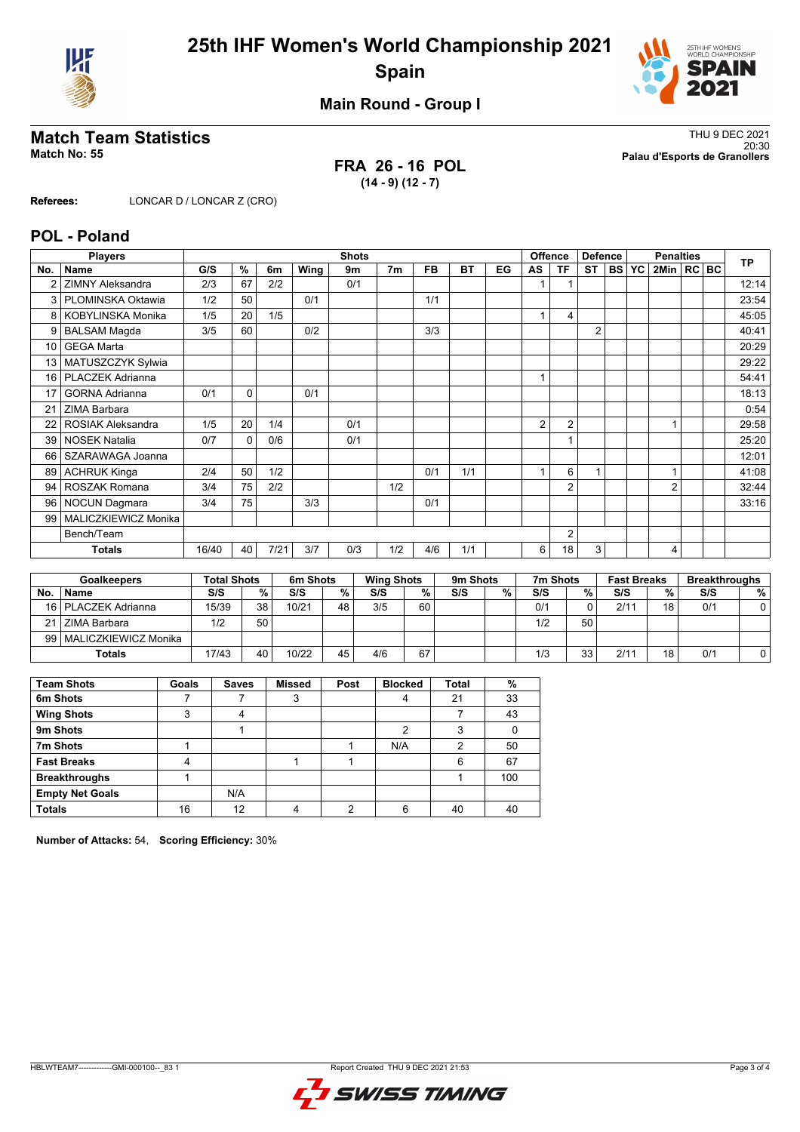



**Main Round - Group I**

**FRA 26 - 16 POL (14 - 9) (12 - 7)**

**Match Team Statistics** Thu 9 DEC 2021 20:30 **Match No: 55 Palau d'Esports de Granollers**

**Referees:** LONCAR D / LONCAR Z (CRO)

### **POL - Poland**

|                 | <b>Players</b>          |       |          |      |      | <b>Shots</b> |                |           |           |    |    | <b>Offence</b> | <b>Defence</b> |              | <b>Penalties</b> |  | <b>TP</b> |
|-----------------|-------------------------|-------|----------|------|------|--------------|----------------|-----------|-----------|----|----|----------------|----------------|--------------|------------------|--|-----------|
| No.             | <b>Name</b>             | G/S   | %        | 6m   | Wing | 9m           | 7 <sub>m</sub> | <b>FB</b> | <b>BT</b> | EG | AS | ΤF             | <b>ST</b>      | <b>BS YC</b> | 2Min   RC   BC   |  |           |
|                 | <b>ZIMNY Aleksandra</b> | 2/3   | 67       | 2/2  |      | 0/1          |                |           |           |    |    |                |                |              |                  |  | 12:14     |
| 3               | PLOMINSKA Oktawia       | 1/2   | 50       |      | 0/1  |              |                | 1/1       |           |    |    |                |                |              |                  |  | 23:54     |
| 8               | KOBYLINSKA Monika       | 1/5   | 20       | 1/5  |      |              |                |           |           |    |    | 4              |                |              |                  |  | 45:05     |
| 9               | <b>BALSAM Magda</b>     | 3/5   | 60       |      | 0/2  |              |                | 3/3       |           |    |    |                | $\overline{2}$ |              |                  |  | 40:41     |
| 10 <sup>°</sup> | <b>GEGA Marta</b>       |       |          |      |      |              |                |           |           |    |    |                |                |              |                  |  | 20:29     |
| 13              | MATUSZCZYK Sylwia       |       |          |      |      |              |                |           |           |    |    |                |                |              |                  |  | 29:22     |
| 16              | PLACZEK Adrianna        |       |          |      |      |              |                |           |           |    |    |                |                |              |                  |  | 54:41     |
| 17              | <b>GORNA Adrianna</b>   | 0/1   | $\Omega$ |      | 0/1  |              |                |           |           |    |    |                |                |              |                  |  | 18:13     |
| 21              | ZIMA Barbara            |       |          |      |      |              |                |           |           |    |    |                |                |              |                  |  | 0:54      |
| 22              | ROSIAK Aleksandra       | 1/5   | 20       | 1/4  |      | 0/1          |                |           |           |    | 2  | $\overline{2}$ |                |              |                  |  | 29:58     |
| 39              | <b>NOSEK Natalia</b>    | 0/7   | $\Omega$ | 0/6  |      | 0/1          |                |           |           |    |    |                |                |              |                  |  | 25:20     |
| 66              | SZARAWAGA Joanna        |       |          |      |      |              |                |           |           |    |    |                |                |              |                  |  | 12:01     |
| 89              | <b>ACHRUK Kinga</b>     | 2/4   | 50       | 1/2  |      |              |                | 0/1       | 1/1       |    |    | 6              | 1              |              |                  |  | 41:08     |
| 94              | ROSZAK Romana           | 3/4   | 75       | 2/2  |      |              | 1/2            |           |           |    |    | $\overline{2}$ |                |              | $\overline{2}$   |  | 32:44     |
| 96              | <b>NOCUN Dagmara</b>    | 3/4   | 75       |      | 3/3  |              |                | 0/1       |           |    |    |                |                |              |                  |  | 33:16     |
| 99              | MALICZKIEWICZ Monika    |       |          |      |      |              |                |           |           |    |    |                |                |              |                  |  |           |
|                 | Bench/Team              |       |          |      |      |              |                |           |           |    |    | $\overline{2}$ |                |              |                  |  |           |
|                 | <b>Totals</b>           | 16/40 | 40       | 7/21 | 3/7  | 0/3          | 1/2            | 4/6       | 1/1       |    | 6  | 18             | 3              |              | $\overline{4}$   |  |           |

| <b>Goalkeepers</b> |                           | <b>Total Shots</b> |    | 6m Shots |    |     | <b>Wing Shots</b> |     | 9m Shots |     | 7m Shots |      | <b>Fast Breaks</b> |     | <b>Breakthroughs</b> |  |
|--------------------|---------------------------|--------------------|----|----------|----|-----|-------------------|-----|----------|-----|----------|------|--------------------|-----|----------------------|--|
| No                 | <b>Name</b>               | S/S                | %  | S/S      | %  | S/S | %                 | S/S | %        | S/S | %        | S/S  | %                  | S/S | %                    |  |
|                    | 16   PLACZEK Adrianna     | 15/39              | 38 | 10/21    | 48 | 3/5 | 60                |     |          | 0/1 |          | 2/11 | 18                 | 0/1 |                      |  |
|                    | 21 ZIMA Barbara           | 1/2                | 50 |          |    |     |                   |     |          | 1/2 | 50       |      |                    |     |                      |  |
|                    | 99   MALICZKIEWICZ Monika |                    |    |          |    |     |                   |     |          |     |          |      |                    |     |                      |  |
|                    | <b>Totals</b>             | 17/43              | 40 | 10/22    | 45 | 4/6 | 67                |     |          | 1/3 | 33       | 2/11 | 18                 | 0/1 |                      |  |

| <b>Team Shots</b>      | Goals | <b>Saves</b> | <b>Missed</b> | Post | <b>Blocked</b> | <b>Total</b> | %   |
|------------------------|-------|--------------|---------------|------|----------------|--------------|-----|
| 6m Shots               |       |              | 3             |      |                | 21           | 33  |
| <b>Wing Shots</b>      | 3     | 4            |               |      |                |              | 43  |
| 9m Shots               |       |              |               |      |                |              |     |
| 7m Shots               |       |              |               |      | N/A            | 2            | 50  |
| <b>Fast Breaks</b>     |       |              |               |      |                | 6            | 67  |
| <b>Breakthroughs</b>   |       |              |               |      |                |              | 100 |
| <b>Empty Net Goals</b> |       | N/A          |               |      |                |              |     |
| <b>Totals</b>          | 16    | 12           |               | ົ    | 6              | 40           | 40  |

**Number of Attacks:** 54, **Scoring Efficiency:** 30%